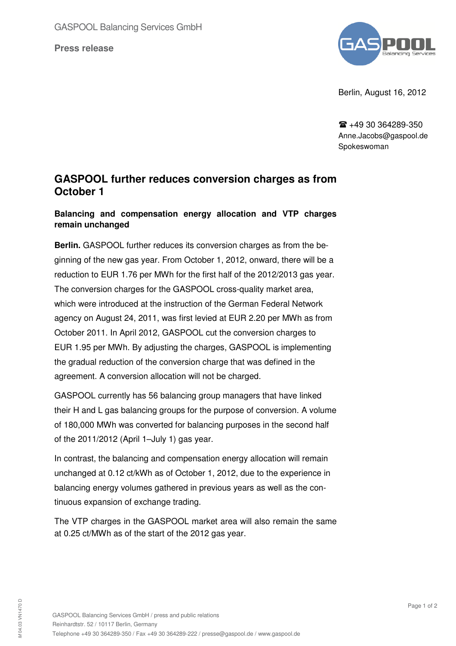**Press release**



Berlin, August 16, 2012

 $\mathbf{R}$  +49 30 364289-350 Anne.Jacobs@gaspool.de Spokeswoman

## **GASPOOL further reduces conversion charges as from October 1**

## **Balancing and compensation energy allocation and VTP charges remain unchanged**

**Berlin.** GASPOOL further reduces its conversion charges as from the beginning of the new gas year. From October 1, 2012, onward, there will be a reduction to EUR 1.76 per MWh for the first half of the 2012/2013 gas year. The conversion charges for the GASPOOL cross-quality market area, which were introduced at the instruction of the German Federal Network agency on August 24, 2011, was first levied at EUR 2.20 per MWh as from October 2011. In April 2012, GASPOOL cut the conversion charges to EUR 1.95 per MWh. By adjusting the charges, GASPOOL is implementing the gradual reduction of the conversion charge that was defined in the agreement. A conversion allocation will not be charged.

GASPOOL currently has 56 balancing group managers that have linked their H and L gas balancing groups for the purpose of conversion. A volume of 180,000 MWh was converted for balancing purposes in the second half of the 2011/2012 (April 1–July 1) gas year.

In contrast, the balancing and compensation energy allocation will remain unchanged at 0.12 ct/kWh as of October 1, 2012, due to the experience in balancing energy volumes gathered in previous years as well as the continuous expansion of exchange trading.

The VTP charges in the GASPOOL market area will also remain the same at 0.25 ct/MWh as of the start of the 2012 gas year.